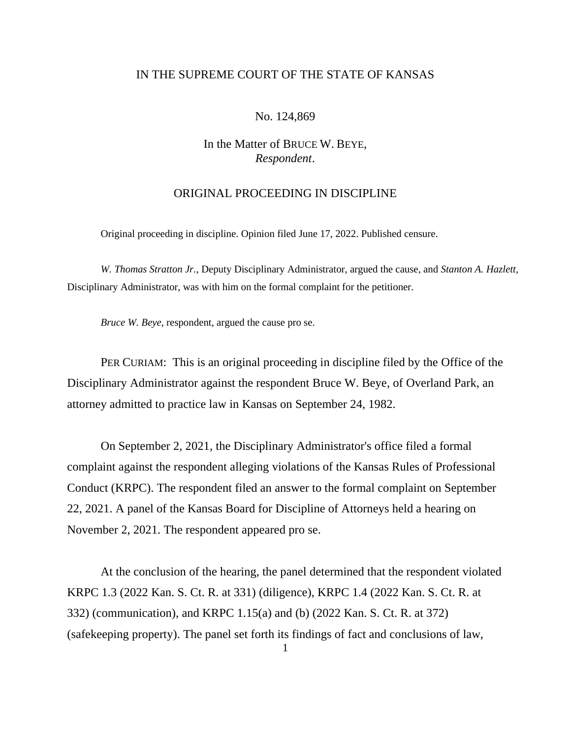## IN THE SUPREME COURT OF THE STATE OF KANSAS

## No. 124,869

# In the Matter of BRUCE W. BEYE, *Respondent*.

## ORIGINAL PROCEEDING IN DISCIPLINE

Original proceeding in discipline. Opinion filed June 17, 2022. Published censure.

*W. Thomas Stratton Jr.*, Deputy Disciplinary Administrator, argued the cause, and *Stanton A. Hazlett*, Disciplinary Administrator, was with him on the formal complaint for the petitioner.

*Bruce W. Beye*, respondent, argued the cause pro se.

PER CURIAM: This is an original proceeding in discipline filed by the Office of the Disciplinary Administrator against the respondent Bruce W. Beye, of Overland Park, an attorney admitted to practice law in Kansas on September 24, 1982.

On September 2, 2021, the Disciplinary Administrator's office filed a formal complaint against the respondent alleging violations of the Kansas Rules of Professional Conduct (KRPC). The respondent filed an answer to the formal complaint on September 22, 2021. A panel of the Kansas Board for Discipline of Attorneys held a hearing on November 2, 2021. The respondent appeared pro se.

At the conclusion of the hearing, the panel determined that the respondent violated KRPC 1.3 (2022 Kan. S. Ct. R. at 331) (diligence), KRPC 1.4 (2022 Kan. S. Ct. R. at 332) (communication), and KRPC 1.15(a) and (b) (2022 Kan. S. Ct. R. at 372) (safekeeping property). The panel set forth its findings of fact and conclusions of law,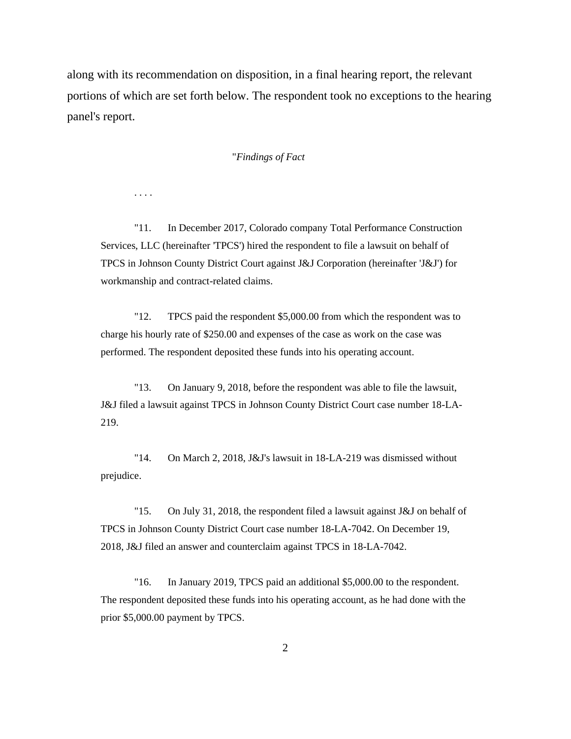along with its recommendation on disposition, in a final hearing report, the relevant portions of which are set forth below. The respondent took no exceptions to the hearing panel's report.

### "*Findings of Fact*

. . . .

"11. In December 2017, Colorado company Total Performance Construction Services, LLC (hereinafter 'TPCS') hired the respondent to file a lawsuit on behalf of TPCS in Johnson County District Court against J&J Corporation (hereinafter 'J&J') for workmanship and contract-related claims.

"12. TPCS paid the respondent \$5,000.00 from which the respondent was to charge his hourly rate of \$250.00 and expenses of the case as work on the case was performed. The respondent deposited these funds into his operating account.

"13. On January 9, 2018, before the respondent was able to file the lawsuit, J&J filed a lawsuit against TPCS in Johnson County District Court case number 18-LA-219.

"14. On March 2, 2018, J&J's lawsuit in 18-LA-219 was dismissed without prejudice.

"15. On July 31, 2018, the respondent filed a lawsuit against J&J on behalf of TPCS in Johnson County District Court case number 18-LA-7042. On December 19, 2018, J&J filed an answer and counterclaim against TPCS in 18-LA-7042.

"16. In January 2019, TPCS paid an additional \$5,000.00 to the respondent. The respondent deposited these funds into his operating account, as he had done with the prior \$5,000.00 payment by TPCS.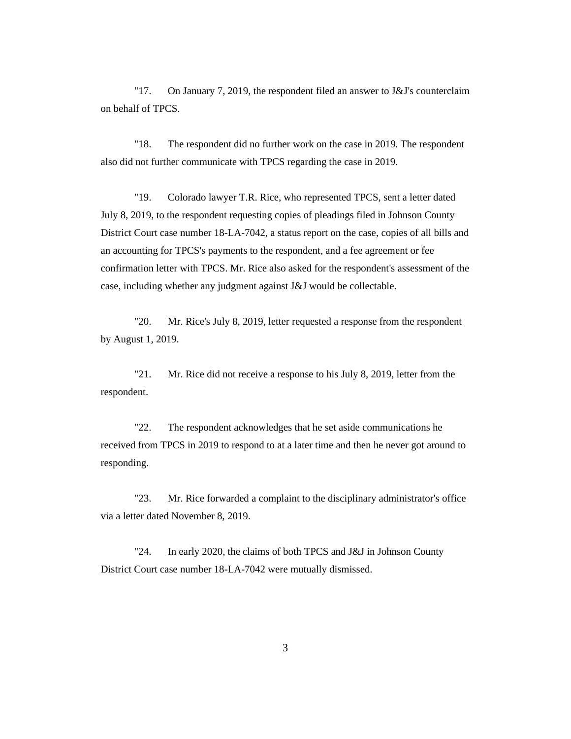"17. On January 7, 2019, the respondent filed an answer to J&J's counterclaim on behalf of TPCS.

"18. The respondent did no further work on the case in 2019. The respondent also did not further communicate with TPCS regarding the case in 2019.

"19. Colorado lawyer T.R. Rice, who represented TPCS, sent a letter dated July 8, 2019, to the respondent requesting copies of pleadings filed in Johnson County District Court case number 18-LA-7042, a status report on the case, copies of all bills and an accounting for TPCS's payments to the respondent, and a fee agreement or fee confirmation letter with TPCS. Mr. Rice also asked for the respondent's assessment of the case, including whether any judgment against J&J would be collectable.

"20. Mr. Rice's July 8, 2019, letter requested a response from the respondent by August 1, 2019.

"21. Mr. Rice did not receive a response to his July 8, 2019, letter from the respondent.

"22. The respondent acknowledges that he set aside communications he received from TPCS in 2019 to respond to at a later time and then he never got around to responding.

"23. Mr. Rice forwarded a complaint to the disciplinary administrator's office via a letter dated November 8, 2019.

"24. In early 2020, the claims of both TPCS and J&J in Johnson County District Court case number 18-LA-7042 were mutually dismissed.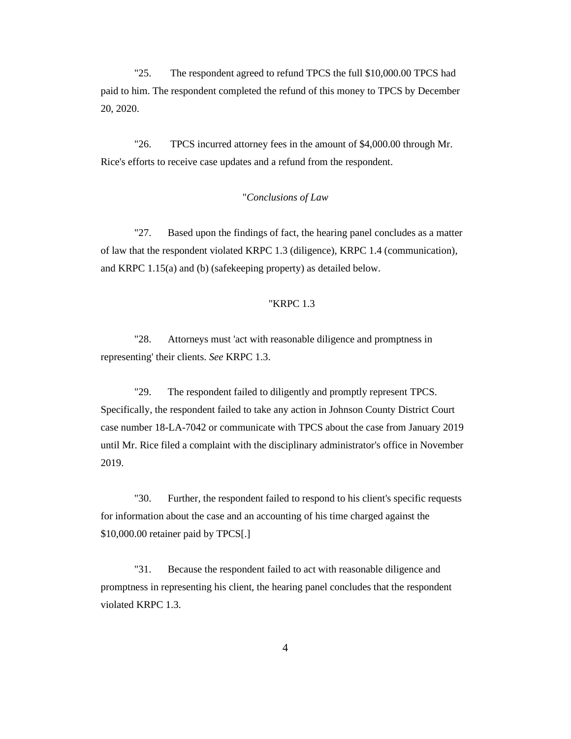"25. The respondent agreed to refund TPCS the full \$10,000.00 TPCS had paid to him. The respondent completed the refund of this money to TPCS by December 20, 2020.

"26. TPCS incurred attorney fees in the amount of \$4,000.00 through Mr. Rice's efforts to receive case updates and a refund from the respondent.

#### "*Conclusions of Law*

"27. Based upon the findings of fact, the hearing panel concludes as a matter of law that the respondent violated KRPC 1.3 (diligence), KRPC 1.4 (communication), and KRPC 1.15(a) and (b) (safekeeping property) as detailed below.

### "KRPC 1.3

"28. Attorneys must 'act with reasonable diligence and promptness in representing' their clients. *See* KRPC 1.3.

"29. The respondent failed to diligently and promptly represent TPCS. Specifically, the respondent failed to take any action in Johnson County District Court case number 18-LA-7042 or communicate with TPCS about the case from January 2019 until Mr. Rice filed a complaint with the disciplinary administrator's office in November 2019.

"30. Further, the respondent failed to respond to his client's specific requests for information about the case and an accounting of his time charged against the \$10,000.00 retainer paid by TPCS[.]

"31. Because the respondent failed to act with reasonable diligence and promptness in representing his client, the hearing panel concludes that the respondent violated KRPC 1.3.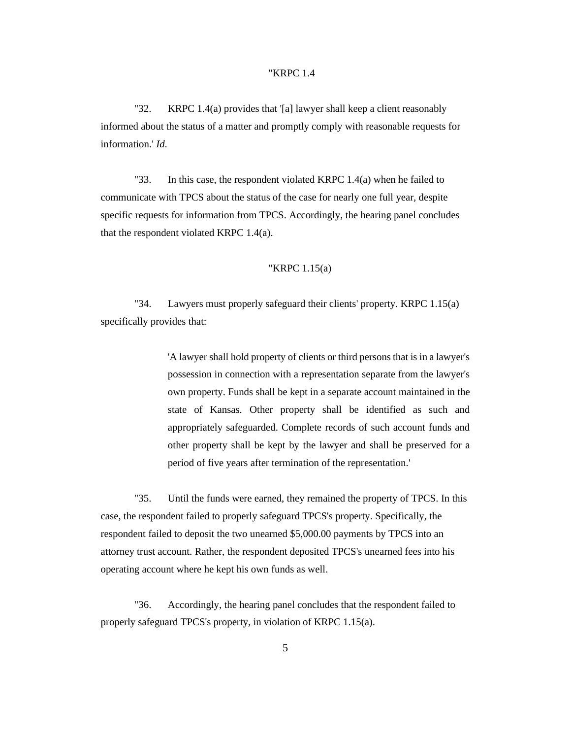#### "KRPC 1.4

"32. KRPC 1.4(a) provides that '[a] lawyer shall keep a client reasonably informed about the status of a matter and promptly comply with reasonable requests for information.' *Id*.

"33. In this case, the respondent violated KRPC 1.4(a) when he failed to communicate with TPCS about the status of the case for nearly one full year, despite specific requests for information from TPCS. Accordingly, the hearing panel concludes that the respondent violated KRPC 1.4(a).

#### "KRPC 1.15(a)

"34. Lawyers must properly safeguard their clients' property. KRPC 1.15(a) specifically provides that:

> 'A lawyer shall hold property of clients or third persons that is in a lawyer's possession in connection with a representation separate from the lawyer's own property. Funds shall be kept in a separate account maintained in the state of Kansas. Other property shall be identified as such and appropriately safeguarded. Complete records of such account funds and other property shall be kept by the lawyer and shall be preserved for a period of five years after termination of the representation.'

"35. Until the funds were earned, they remained the property of TPCS. In this case, the respondent failed to properly safeguard TPCS's property. Specifically, the respondent failed to deposit the two unearned \$5,000.00 payments by TPCS into an attorney trust account. Rather, the respondent deposited TPCS's unearned fees into his operating account where he kept his own funds as well.

"36. Accordingly, the hearing panel concludes that the respondent failed to properly safeguard TPCS's property, in violation of KRPC 1.15(a).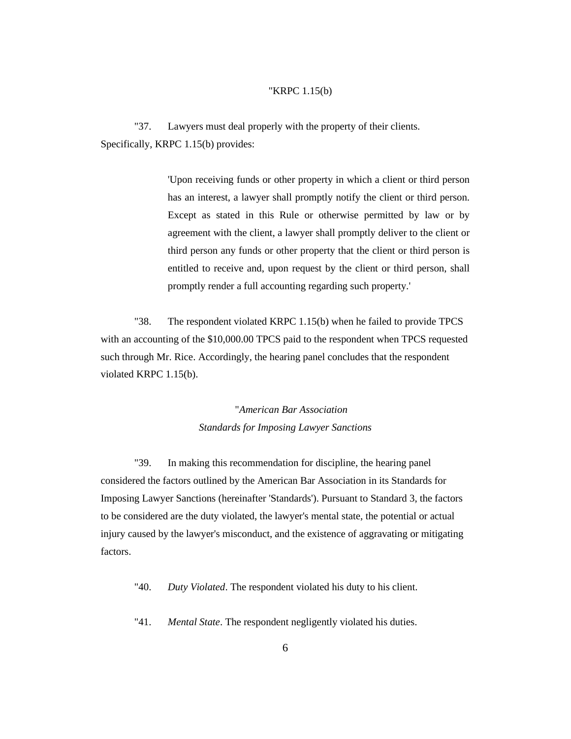#### "KRPC 1.15(b)

"37. Lawyers must deal properly with the property of their clients. Specifically, KRPC 1.15(b) provides:

> 'Upon receiving funds or other property in which a client or third person has an interest, a lawyer shall promptly notify the client or third person. Except as stated in this Rule or otherwise permitted by law or by agreement with the client, a lawyer shall promptly deliver to the client or third person any funds or other property that the client or third person is entitled to receive and, upon request by the client or third person, shall promptly render a full accounting regarding such property.'

"38. The respondent violated KRPC 1.15(b) when he failed to provide TPCS with an accounting of the \$10,000.00 TPCS paid to the respondent when TPCS requested such through Mr. Rice. Accordingly, the hearing panel concludes that the respondent violated KRPC 1.15(b).

> "*American Bar Association Standards for Imposing Lawyer Sanctions*

"39. In making this recommendation for discipline, the hearing panel considered the factors outlined by the American Bar Association in its Standards for Imposing Lawyer Sanctions (hereinafter 'Standards'). Pursuant to Standard 3, the factors to be considered are the duty violated, the lawyer's mental state, the potential or actual injury caused by the lawyer's misconduct, and the existence of aggravating or mitigating factors.

"40. *Duty Violated*. The respondent violated his duty to his client.

"41. *Mental State*. The respondent negligently violated his duties.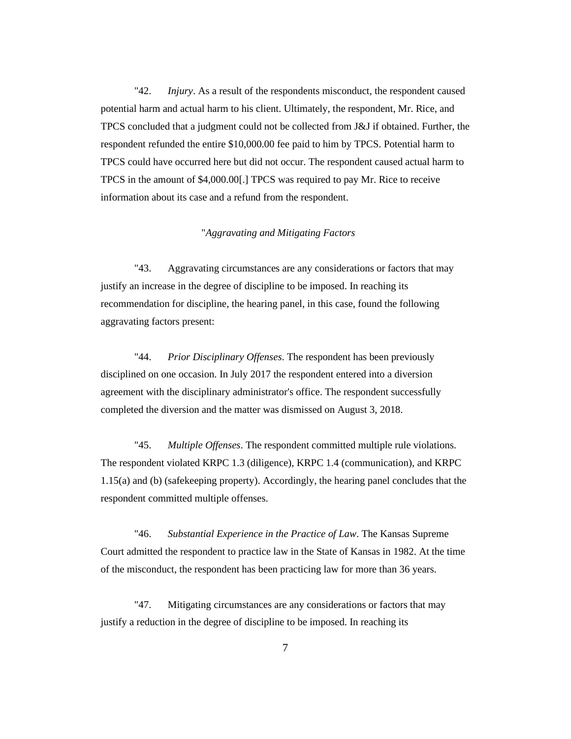"42. *Injury*. As a result of the respondents misconduct, the respondent caused potential harm and actual harm to his client. Ultimately, the respondent, Mr. Rice, and TPCS concluded that a judgment could not be collected from J&J if obtained. Further, the respondent refunded the entire \$10,000.00 fee paid to him by TPCS. Potential harm to TPCS could have occurred here but did not occur. The respondent caused actual harm to TPCS in the amount of \$4,000.00[.] TPCS was required to pay Mr. Rice to receive information about its case and a refund from the respondent.

## "*Aggravating and Mitigating Factors*

"43. Aggravating circumstances are any considerations or factors that may justify an increase in the degree of discipline to be imposed. In reaching its recommendation for discipline, the hearing panel, in this case, found the following aggravating factors present:

"44. *Prior Disciplinary Offenses*. The respondent has been previously disciplined on one occasion. In July 2017 the respondent entered into a diversion agreement with the disciplinary administrator's office. The respondent successfully completed the diversion and the matter was dismissed on August 3, 2018.

"45. *Multiple Offenses*. The respondent committed multiple rule violations. The respondent violated KRPC 1.3 (diligence), KRPC 1.4 (communication), and KRPC 1.15(a) and (b) (safekeeping property). Accordingly, the hearing panel concludes that the respondent committed multiple offenses.

"46. *Substantial Experience in the Practice of Law*. The Kansas Supreme Court admitted the respondent to practice law in the State of Kansas in 1982. At the time of the misconduct, the respondent has been practicing law for more than 36 years.

"47. Mitigating circumstances are any considerations or factors that may justify a reduction in the degree of discipline to be imposed. In reaching its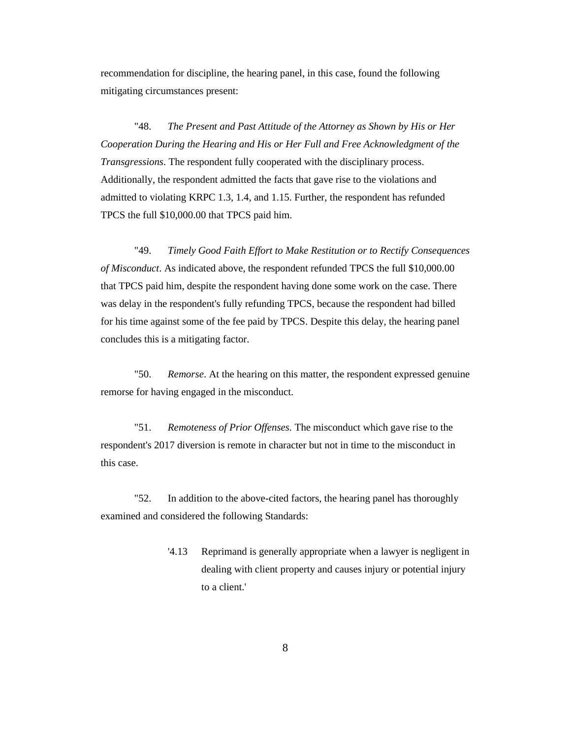recommendation for discipline, the hearing panel, in this case, found the following mitigating circumstances present:

"48. *The Present and Past Attitude of the Attorney as Shown by His or Her Cooperation During the Hearing and His or Her Full and Free Acknowledgment of the Transgressions*. The respondent fully cooperated with the disciplinary process. Additionally, the respondent admitted the facts that gave rise to the violations and admitted to violating KRPC 1.3, 1.4, and 1.15. Further, the respondent has refunded TPCS the full \$10,000.00 that TPCS paid him.

"49. *Timely Good Faith Effort to Make Restitution or to Rectify Consequences of Misconduct*. As indicated above, the respondent refunded TPCS the full \$10,000.00 that TPCS paid him, despite the respondent having done some work on the case. There was delay in the respondent's fully refunding TPCS, because the respondent had billed for his time against some of the fee paid by TPCS. Despite this delay, the hearing panel concludes this is a mitigating factor.

"50. *Remorse*. At the hearing on this matter, the respondent expressed genuine remorse for having engaged in the misconduct.

"51. *Remoteness of Prior Offenses.* The misconduct which gave rise to the respondent's 2017 diversion is remote in character but not in time to the misconduct in this case.

"52. In addition to the above-cited factors, the hearing panel has thoroughly examined and considered the following Standards:

> '4.13 Reprimand is generally appropriate when a lawyer is negligent in dealing with client property and causes injury or potential injury to a client.'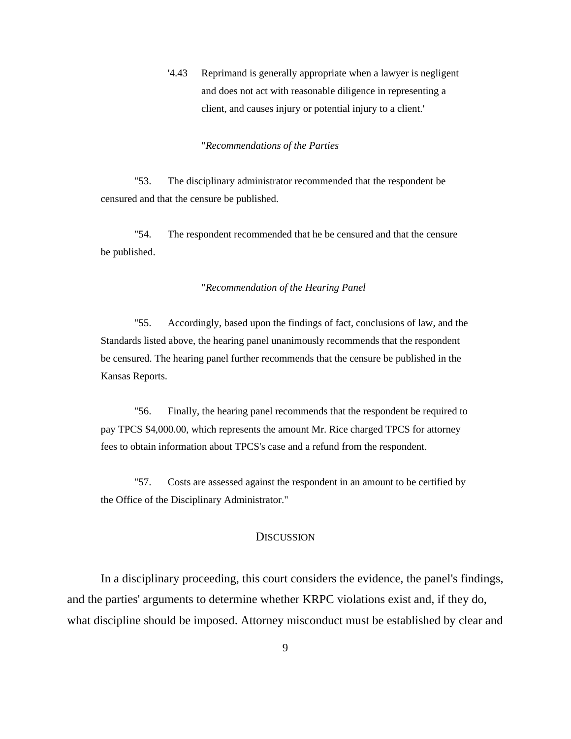'4.43 Reprimand is generally appropriate when a lawyer is negligent and does not act with reasonable diligence in representing a client, and causes injury or potential injury to a client.'

#### "*Recommendations of the Parties*

"53. The disciplinary administrator recommended that the respondent be censured and that the censure be published.

"54. The respondent recommended that he be censured and that the censure be published.

## "*Recommendation of the Hearing Panel*

"55. Accordingly, based upon the findings of fact, conclusions of law, and the Standards listed above, the hearing panel unanimously recommends that the respondent be censured. The hearing panel further recommends that the censure be published in the Kansas Reports.

"56. Finally, the hearing panel recommends that the respondent be required to pay TPCS \$4,000.00, which represents the amount Mr. Rice charged TPCS for attorney fees to obtain information about TPCS's case and a refund from the respondent.

"57. Costs are assessed against the respondent in an amount to be certified by the Office of the Disciplinary Administrator."

### **DISCUSSION**

In a disciplinary proceeding, this court considers the evidence, the panel's findings, and the parties' arguments to determine whether KRPC violations exist and, if they do, what discipline should be imposed. Attorney misconduct must be established by clear and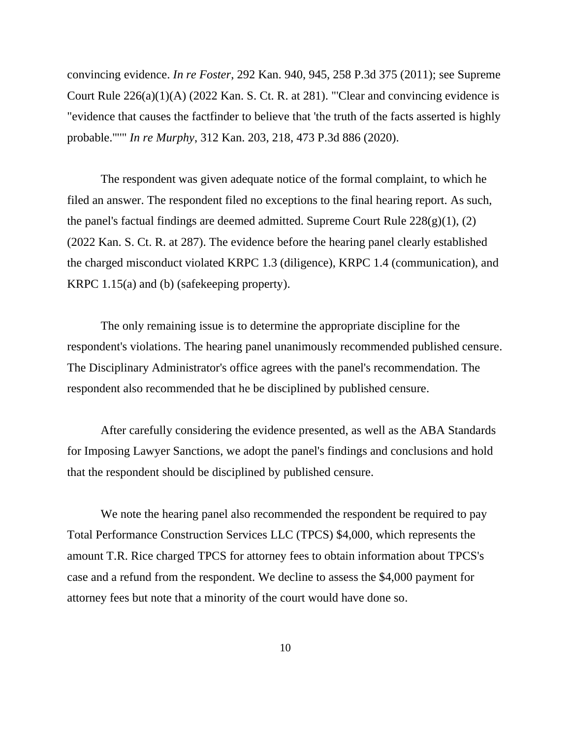convincing evidence. *In re Foster*, 292 Kan. 940, 945, 258 P.3d 375 (2011); see Supreme Court Rule 226(a)(1)(A) (2022 Kan. S. Ct. R. at 281). "'Clear and convincing evidence is "evidence that causes the factfinder to believe that 'the truth of the facts asserted is highly probable.'"'" *In re Murphy*, 312 Kan. 203, 218, 473 P.3d 886 (2020).

The respondent was given adequate notice of the formal complaint, to which he filed an answer. The respondent filed no exceptions to the final hearing report. As such, the panel's factual findings are deemed admitted. Supreme Court Rule  $228(g)(1)$ , (2) (2022 Kan. S. Ct. R. at 287). The evidence before the hearing panel clearly established the charged misconduct violated KRPC 1.3 (diligence), KRPC 1.4 (communication), and KRPC 1.15(a) and (b) (safekeeping property).

The only remaining issue is to determine the appropriate discipline for the respondent's violations. The hearing panel unanimously recommended published censure. The Disciplinary Administrator's office agrees with the panel's recommendation. The respondent also recommended that he be disciplined by published censure.

After carefully considering the evidence presented, as well as the ABA Standards for Imposing Lawyer Sanctions, we adopt the panel's findings and conclusions and hold that the respondent should be disciplined by published censure.

We note the hearing panel also recommended the respondent be required to pay Total Performance Construction Services LLC (TPCS) \$4,000, which represents the amount T.R. Rice charged TPCS for attorney fees to obtain information about TPCS's case and a refund from the respondent. We decline to assess the \$4,000 payment for attorney fees but note that a minority of the court would have done so.